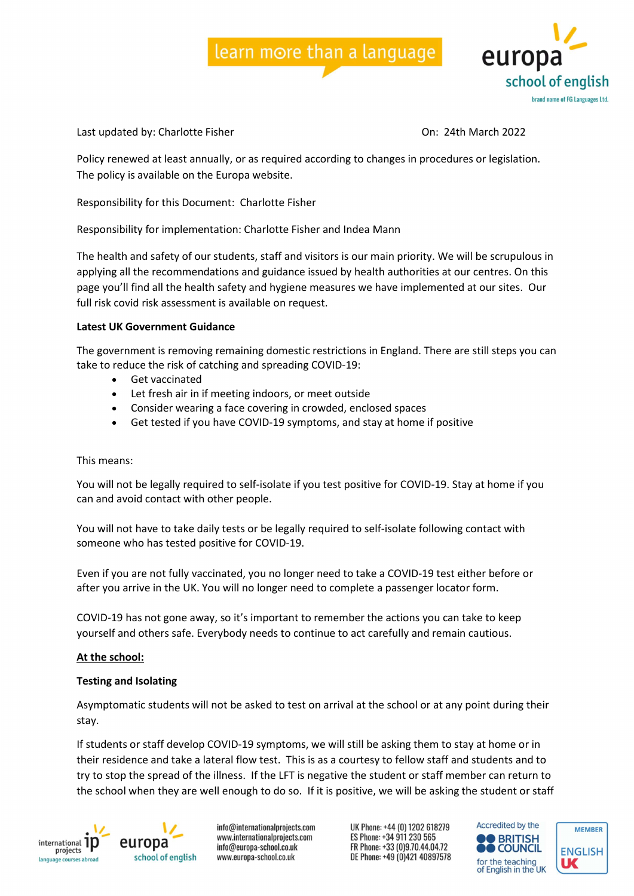# learn more than a language



Last updated by: Charlotte Fisher Charlotte Assessment Charlotte Charlotte Bisher Charlotte Charlotte Fisher C

Policy renewed at least annually, or as required according to changes in procedures or legislation. The policy is available on the Europa website.

Responsibility for this Document: Charlotte Fisher

Responsibility for implementation: Charlotte Fisher and Indea Mann

The health and safety of our students, staff and visitors is our main priority. We will be scrupulous in applying all the recommendations and guidance issued by health authorities at our centres. On this page you'll find all the health safety and hygiene measures we have implemented at our sites. Our full risk covid risk assessment is available on request.

## Latest UK Government Guidance

The government is removing remaining domestic restrictions in England. There are still steps you can take to reduce the risk of catching and spreading COVID-19:

- Get vaccinated
- Let fresh air in if meeting indoors, or meet outside
- Consider wearing a face covering in crowded, enclosed spaces
- Get tested if you have COVID-19 symptoms, and stay at home if positive

## This means:

You will not be legally required to self-isolate if you test positive for COVID-19. Stay at home if you can and avoid contact with other people.

You will not have to take daily tests or be legally required to self-isolate following contact with someone who has tested positive for COVID-19.

Even if you are not fully vaccinated, you no longer need to take a COVID-19 test either before or after you arrive in the UK. You will no longer need to complete a passenger locator form.

COVID-19 has not gone away, so it's important to remember the actions you can take to keep yourself and others safe. Everybody needs to continue to act carefully and remain cautious.

## At the school:

## Testing and Isolating

Asymptomatic students will not be asked to test on arrival at the school or at any point during their stay.

If students or staff develop COVID-19 symptoms, we will still be asking them to stay at home or in their residence and take a lateral flow test. This is as a courtesy to fellow staff and students and to try to stop the spread of the illness. If the LFT is negative the student or staff member can return to the school when they are well enough to do so. If it is positive, we will be asking the student or staff



europa school of english

info@internationalprojects.com www.internationalprojects.com info@europa-school.co.uk www.europa-school.co.uk

UK Phone: +44 (0) 1202 618279 ES Phone: +34 911 230 565 FR Phone: +33 (0)9.70.44.04.72 DE Phone: +49 (0)421 40897578



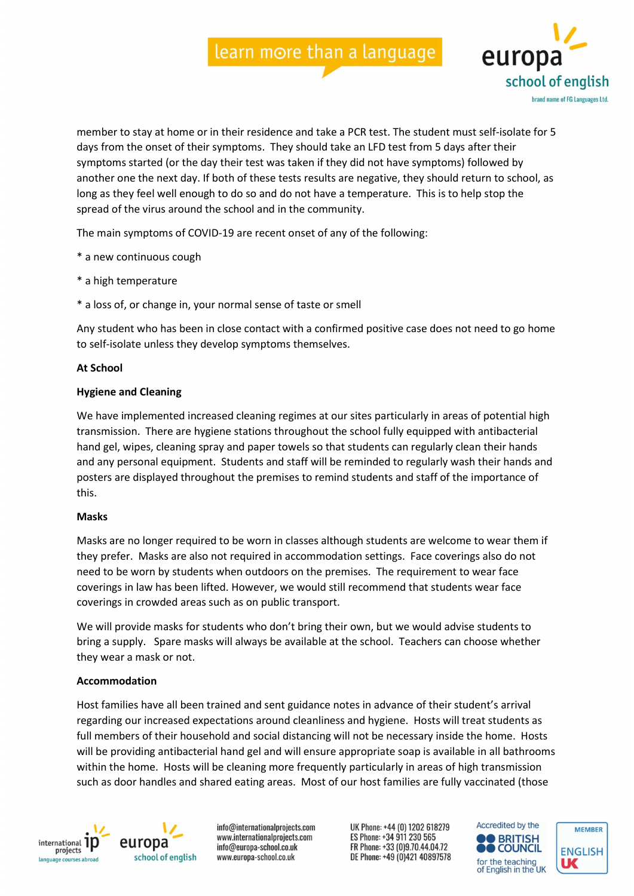## learn more than a language



member to stay at home or in their residence and take a PCR test. The student must self-isolate for 5 days from the onset of their symptoms. They should take an LFD test from 5 days after their symptoms started (or the day their test was taken if they did not have symptoms) followed by another one the next day. If both of these tests results are negative, they should return to school, as long as they feel well enough to do so and do not have a temperature. This is to help stop the spread of the virus around the school and in the community.

The main symptoms of COVID-19 are recent onset of any of the following:

- \* a new continuous cough
- \* a high temperature
- \* a loss of, or change in, your normal sense of taste or smell

Any student who has been in close contact with a confirmed positive case does not need to go home to self-isolate unless they develop symptoms themselves.

#### At School

#### Hygiene and Cleaning

We have implemented increased cleaning regimes at our sites particularly in areas of potential high transmission. There are hygiene stations throughout the school fully equipped with antibacterial hand gel, wipes, cleaning spray and paper towels so that students can regularly clean their hands and any personal equipment. Students and staff will be reminded to regularly wash their hands and posters are displayed throughout the premises to remind students and staff of the importance of this.

#### Masks

Masks are no longer required to be worn in classes although students are welcome to wear them if they prefer. Masks are also not required in accommodation settings. Face coverings also do not need to be worn by students when outdoors on the premises. The requirement to wear face coverings in law has been lifted. However, we would still recommend that students wear face coverings in crowded areas such as on public transport.

We will provide masks for students who don't bring their own, but we would advise students to bring a supply. Spare masks will always be available at the school. Teachers can choose whether they wear a mask or not.

## Accommodation

Host families have all been trained and sent guidance notes in advance of their student's arrival regarding our increased expectations around cleanliness and hygiene. Hosts will treat students as full members of their household and social distancing will not be necessary inside the home. Hosts will be providing antibacterial hand gel and will ensure appropriate soap is available in all bathrooms within the home. Hosts will be cleaning more frequently particularly in areas of high transmission such as door handles and shared eating areas. Most of our host families are fully vaccinated (those



europa school of english

info@internationalprojects.com www.internationalprojects.com info@europa-school.co.uk www.europa-school.co.uk

UK Phone: +44 (0) 1202 618279 ES Phone: +34 911 230 565 FR Phone: +33 (0)9.70.44.04.72 DE Phone: +49 (0)421 40897578